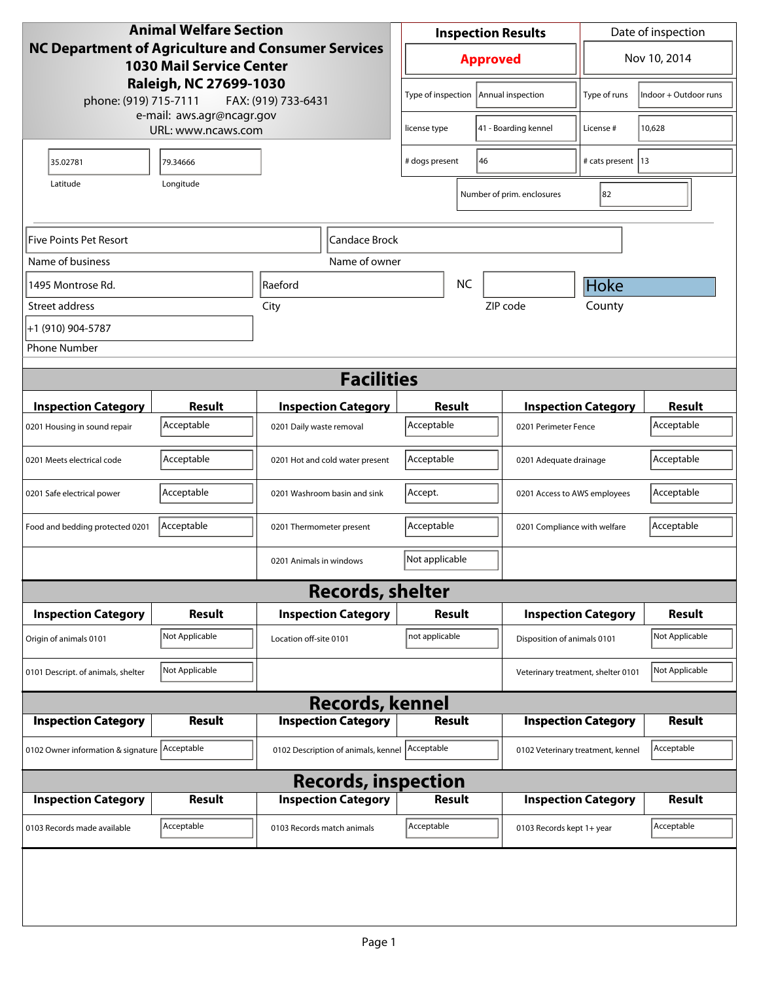| <b>Animal Welfare Section</b>                                                                                                                                   |                             |                                                  | <b>Inspection Results</b>                     |                      |                                                      | Date of inspection                |                                                    |                       |
|-----------------------------------------------------------------------------------------------------------------------------------------------------------------|-----------------------------|--------------------------------------------------|-----------------------------------------------|----------------------|------------------------------------------------------|-----------------------------------|----------------------------------------------------|-----------------------|
| NC Department of Agriculture and Consumer Services<br><b>1030 Mail Service Center</b><br>Raleigh, NC 27699-1030<br>phone: (919) 715-7111<br>FAX: (919) 733-6431 |                             |                                                  | <b>Approved</b>                               |                      |                                                      | Nov 10, 2014                      |                                                    |                       |
|                                                                                                                                                                 |                             |                                                  |                                               | Type of inspection   |                                                      | Annual inspection                 | Type of runs                                       | Indoor + Outdoor runs |
| e-mail: aws.agr@ncagr.gov<br>URL: www.ncaws.com                                                                                                                 |                             | license type                                     |                                               | 41 - Boarding kennel | License #                                            | 10,628                            |                                                    |                       |
| 35.02781                                                                                                                                                        | 79.34666                    |                                                  | # dogs present                                |                      | 46                                                   | # cats present   13               |                                                    |                       |
| Latitude                                                                                                                                                        | Longitude                   |                                                  |                                               |                      |                                                      | Number of prim. enclosures        | 82                                                 |                       |
| Five Points Pet Resort<br>Candace Brock                                                                                                                         |                             |                                                  |                                               |                      |                                                      |                                   |                                                    |                       |
| Name of business                                                                                                                                                |                             |                                                  | Name of owner                                 |                      |                                                      |                                   |                                                    |                       |
| 1495 Montrose Rd.                                                                                                                                               | Raeford                     |                                                  |                                               |                      | <b>NC</b>                                            |                                   | Hoke                                               |                       |
| Street address                                                                                                                                                  |                             | City                                             |                                               |                      |                                                      | ZIP code                          | County                                             |                       |
| +1 (910) 904-5787                                                                                                                                               |                             |                                                  |                                               |                      |                                                      |                                   |                                                    |                       |
| <b>Phone Number</b>                                                                                                                                             |                             |                                                  |                                               |                      |                                                      |                                   |                                                    |                       |
|                                                                                                                                                                 |                             |                                                  | <b>Facilities</b>                             |                      |                                                      |                                   |                                                    |                       |
|                                                                                                                                                                 |                             |                                                  |                                               |                      |                                                      |                                   |                                                    | <b>Result</b>         |
| <b>Inspection Category</b>                                                                                                                                      | <b>Result</b><br>Acceptable | <b>Inspection Category</b>                       |                                               | Result<br>Acceptable |                                                      |                                   | <b>Inspection Category</b><br>0201 Perimeter Fence |                       |
| 0201 Housing in sound repair                                                                                                                                    |                             | 0201 Daily waste removal                         |                                               |                      |                                                      |                                   |                                                    | Acceptable            |
| 0201 Meets electrical code                                                                                                                                      | Acceptable                  |                                                  | Acceptable<br>0201 Hot and cold water present |                      |                                                      | 0201 Adequate drainage            |                                                    |                       |
| 0201 Safe electrical power                                                                                                                                      | Acceptable                  | 0201 Washroom basin and sink                     |                                               | Accept.              |                                                      |                                   | 0201 Access to AWS employees                       |                       |
| Food and bedding protected 0201                                                                                                                                 | Acceptable                  | 0201 Thermometer present                         |                                               |                      | Acceptable<br>0201 Compliance with welfare           |                                   |                                                    | Acceptable            |
|                                                                                                                                                                 |                             | 0201 Animals in windows                          |                                               | Not applicable       |                                                      |                                   |                                                    |                       |
|                                                                                                                                                                 |                             |                                                  | <b>Records, shelter</b>                       |                      |                                                      |                                   |                                                    |                       |
| <b>Inspection Category</b>                                                                                                                                      | Result                      | <b>Inspection Category</b>                       |                                               | Result               |                                                      |                                   | <b>Inspection Category</b>                         |                       |
| Origin of animals 0101                                                                                                                                          | Not Applicable              | Location off-site 0101                           |                                               | not applicable       |                                                      | Disposition of animals 0101       |                                                    | Not Applicable        |
| 0101 Descript. of animals, shelter                                                                                                                              | Not Applicable              |                                                  |                                               |                      | Not Applicable<br>Veterinary treatment, shelter 0101 |                                   |                                                    |                       |
| <b>Records, kennel</b>                                                                                                                                          |                             |                                                  |                                               |                      |                                                      |                                   |                                                    |                       |
| <b>Inspection Category</b>                                                                                                                                      | <b>Result</b>               | <b>Inspection Category</b>                       |                                               | <b>Result</b>        |                                                      |                                   | <b>Inspection Category</b>                         | <b>Result</b>         |
| 0102 Owner information & signature                                                                                                                              | Acceptable                  | 0102 Description of animals, kennel   Acceptable |                                               |                      |                                                      | 0102 Veterinary treatment, kennel | Acceptable                                         |                       |
| <b>Records, inspection</b>                                                                                                                                      |                             |                                                  |                                               |                      |                                                      |                                   |                                                    |                       |
| <b>Inspection Category</b>                                                                                                                                      | <b>Result</b>               | <b>Inspection Category</b>                       |                                               | <b>Result</b>        |                                                      |                                   | <b>Inspection Category</b>                         | <b>Result</b>         |
| 0103 Records made available                                                                                                                                     | Acceptable                  | 0103 Records match animals                       |                                               | Acceptable           |                                                      | 0103 Records kept 1+ year         |                                                    | Acceptable            |
|                                                                                                                                                                 |                             |                                                  |                                               |                      |                                                      |                                   |                                                    |                       |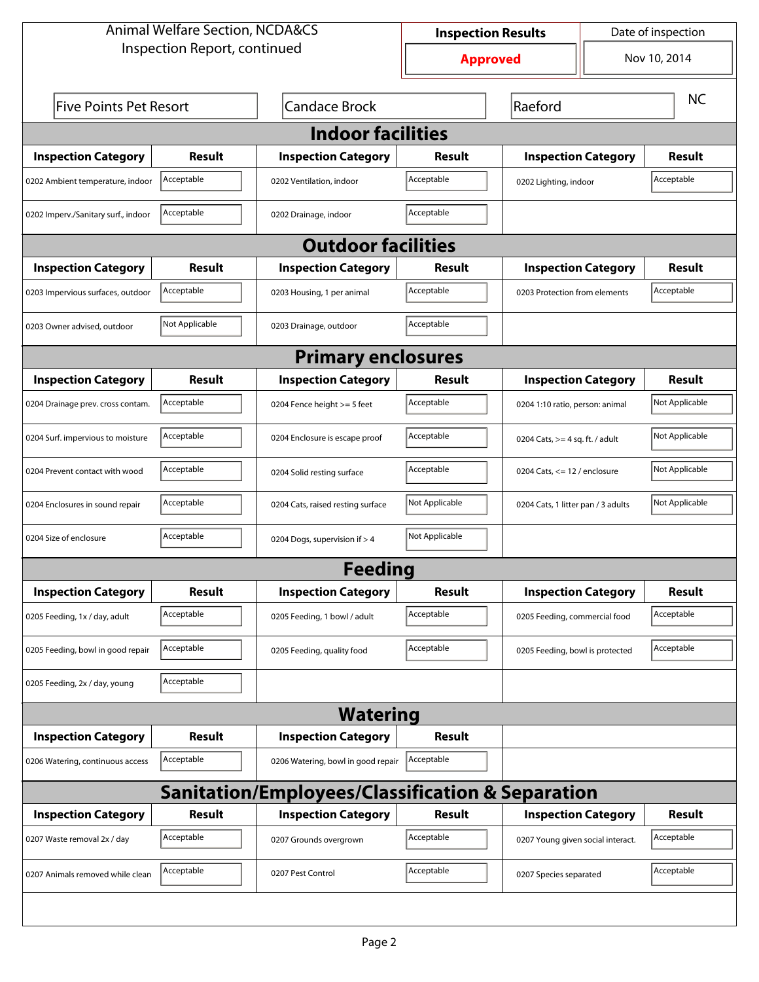| <b>Animal Welfare Section, NCDA&amp;CS</b>       |                              |                                    | Date of inspection<br><b>Inspection Results</b> |                                    |  |                |  |
|--------------------------------------------------|------------------------------|------------------------------------|-------------------------------------------------|------------------------------------|--|----------------|--|
|                                                  | Inspection Report, continued |                                    | <b>Approved</b>                                 |                                    |  | Nov 10, 2014   |  |
| <b>Five Points Pet Resort</b>                    |                              | <b>Candace Brock</b>               | Raeford                                         |                                    |  | <b>NC</b>      |  |
| <b>Indoor facilities</b>                         |                              |                                    |                                                 |                                    |  |                |  |
| <b>Inspection Category</b>                       | Result                       | <b>Inspection Category</b>         | Result                                          | <b>Inspection Category</b>         |  | <b>Result</b>  |  |
| 0202 Ambient temperature, indoor                 | Acceptable                   | 0202 Ventilation, indoor           | Acceptable                                      | 0202 Lighting, indoor              |  | Acceptable     |  |
| 0202 Imperv./Sanitary surf., indoor              | Acceptable                   | 0202 Drainage, indoor              | Acceptable                                      |                                    |  |                |  |
| <b>Outdoor facilities</b>                        |                              |                                    |                                                 |                                    |  |                |  |
| <b>Inspection Category</b>                       | Result                       | <b>Inspection Category</b>         | Result                                          | <b>Inspection Category</b>         |  | Result         |  |
| 0203 Impervious surfaces, outdoor                | Acceptable                   | 0203 Housing, 1 per animal         | Acceptable                                      | 0203 Protection from elements      |  | Acceptable     |  |
| 0203 Owner advised, outdoor                      | Not Applicable               | 0203 Drainage, outdoor             | Acceptable                                      |                                    |  |                |  |
| <b>Primary enclosures</b>                        |                              |                                    |                                                 |                                    |  |                |  |
| <b>Inspection Category</b>                       | Result                       | <b>Inspection Category</b>         | Result                                          | <b>Inspection Category</b>         |  | Result         |  |
| 0204 Drainage prev. cross contam.                | Acceptable                   | 0204 Fence height >= 5 feet        | Acceptable                                      | 0204 1:10 ratio, person: animal    |  | Not Applicable |  |
| 0204 Surf. impervious to moisture                | Acceptable                   | 0204 Enclosure is escape proof     | Acceptable                                      | 0204 Cats, $>=$ 4 sq. ft. / adult  |  | Not Applicable |  |
| 0204 Prevent contact with wood                   | Acceptable                   | 0204 Solid resting surface         | Acceptable                                      | 0204 Cats, $\le$ 12 / enclosure    |  | Not Applicable |  |
| 0204 Enclosures in sound repair                  | Acceptable                   | 0204 Cats, raised resting surface  | Not Applicable                                  | 0204 Cats, 1 litter pan / 3 adults |  | Not Applicable |  |
| 0204 Size of enclosure                           | Acceptable                   | 0204 Dogs, supervision if > 4      | Not Applicable                                  |                                    |  |                |  |
|                                                  |                              | Feedina                            |                                                 |                                    |  |                |  |
| <b>Inspection Category</b>                       | <b>Result</b>                | <b>Inspection Category</b>         | <b>Result</b>                                   | <b>Inspection Category</b>         |  | <b>Result</b>  |  |
| 0205 Feeding, 1x / day, adult                    | Acceptable                   | 0205 Feeding, 1 bowl / adult       | Acceptable                                      | 0205 Feeding, commercial food      |  | Acceptable     |  |
| 0205 Feeding, bowl in good repair                | Acceptable                   | 0205 Feeding, quality food         | Acceptable                                      | 0205 Feeding, bowl is protected    |  | Acceptable     |  |
| 0205 Feeding, 2x / day, young                    | Acceptable                   |                                    |                                                 |                                    |  |                |  |
| <b>Watering</b>                                  |                              |                                    |                                                 |                                    |  |                |  |
| <b>Inspection Category</b>                       | <b>Result</b>                | <b>Inspection Category</b>         | <b>Result</b>                                   |                                    |  |                |  |
| 0206 Watering, continuous access                 | Acceptable                   | 0206 Watering, bowl in good repair | Acceptable                                      |                                    |  |                |  |
| Sanitation/Employees/Classification & Separation |                              |                                    |                                                 |                                    |  |                |  |
| <b>Inspection Category</b>                       | <b>Result</b>                | <b>Inspection Category</b>         | <b>Result</b>                                   | <b>Inspection Category</b>         |  | <b>Result</b>  |  |
| 0207 Waste removal 2x / day                      | Acceptable                   | 0207 Grounds overgrown             | Acceptable                                      | 0207 Young given social interact.  |  | Acceptable     |  |
| 0207 Animals removed while clean                 | Acceptable                   | 0207 Pest Control                  | Acceptable                                      | 0207 Species separated             |  | Acceptable     |  |
|                                                  |                              |                                    |                                                 |                                    |  |                |  |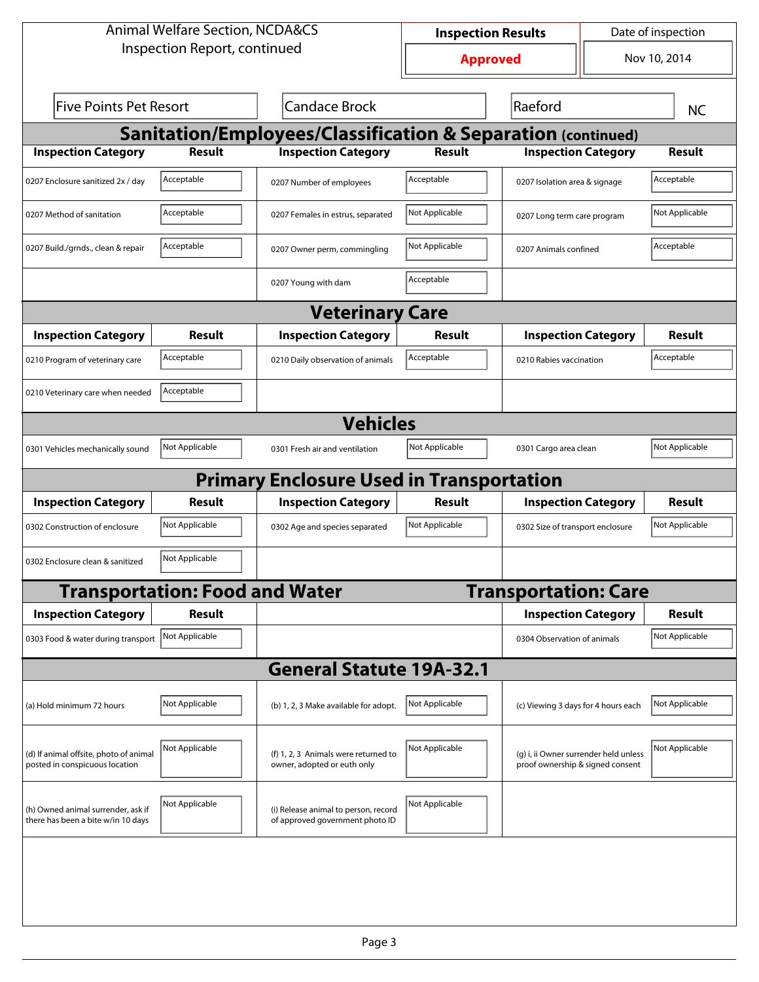| <b>Animal Welfare Section, NCDA&amp;CS</b>                               |                                       |                                                                         | Date of inspection<br><b>Inspection Results</b> |                                                                           |  |                |  |  |
|--------------------------------------------------------------------------|---------------------------------------|-------------------------------------------------------------------------|-------------------------------------------------|---------------------------------------------------------------------------|--|----------------|--|--|
| Inspection Report, continued                                             |                                       |                                                                         | <b>Approved</b>                                 |                                                                           |  | Nov 10, 2014   |  |  |
| <b>Five Points Pet Resort</b><br><b>Candace Brock</b>                    |                                       |                                                                         | Raeford                                         |                                                                           |  | <b>NC</b>      |  |  |
| <b>Sanitation/Employees/Classification &amp; Separation (continued)</b>  |                                       |                                                                         |                                                 |                                                                           |  |                |  |  |
| <b>Inspection Category</b>                                               | <b>Result</b>                         | <b>Inspection Category</b>                                              | <b>Result</b>                                   | <b>Inspection Category</b>                                                |  | Result         |  |  |
| 0207 Enclosure sanitized 2x / day                                        | Acceptable                            | 0207 Number of employees                                                | Acceptable                                      | 0207 Isolation area & signage                                             |  | Acceptable     |  |  |
| 0207 Method of sanitation                                                | Acceptable                            | 0207 Females in estrus, separated                                       | Not Applicable                                  | 0207 Long term care program                                               |  | Not Applicable |  |  |
| 0207 Build./grnds., clean & repair                                       | Acceptable                            | 0207 Owner perm, commingling                                            | Not Applicable                                  | 0207 Animals confined                                                     |  | Acceptable     |  |  |
|                                                                          |                                       | 0207 Young with dam                                                     | Acceptable                                      |                                                                           |  |                |  |  |
| <b>Veterinary Care</b>                                                   |                                       |                                                                         |                                                 |                                                                           |  |                |  |  |
| <b>Inspection Category</b>                                               | Result                                | <b>Inspection Category</b>                                              | Result                                          | <b>Inspection Category</b>                                                |  | Result         |  |  |
| 0210 Program of veterinary care                                          | Acceptable                            | 0210 Daily observation of animals                                       | Acceptable                                      | 0210 Rabies vaccination                                                   |  | Acceptable     |  |  |
| 0210 Veterinary care when needed                                         | Acceptable                            |                                                                         |                                                 |                                                                           |  |                |  |  |
|                                                                          |                                       | <b>Vehicles</b>                                                         |                                                 |                                                                           |  |                |  |  |
| 0301 Vehicles mechanically sound                                         | Not Applicable                        | 0301 Fresh air and ventilation                                          | Not Applicable                                  | 0301 Cargo area clean                                                     |  | Not Applicable |  |  |
|                                                                          |                                       | <b>Primary Enclosure Used in Transportation</b>                         |                                                 |                                                                           |  |                |  |  |
| <b>Inspection Category</b>                                               | Result                                | <b>Inspection Category</b>                                              | Result                                          | <b>Inspection Category</b>                                                |  | Result         |  |  |
| 0302 Construction of enclosure                                           | Not Applicable                        | 0302 Age and species separated                                          | Not Applicable                                  | 0302 Size of transport enclosure                                          |  | Not Applicable |  |  |
| 0302 Enclosure clean & sanitized                                         | Not Applicable                        |                                                                         |                                                 |                                                                           |  |                |  |  |
|                                                                          | <b>Transportation: Food and Water</b> |                                                                         |                                                 | <b>Transportation: Care</b>                                               |  |                |  |  |
| <b>Inspection Category</b>                                               | <b>Result</b>                         |                                                                         |                                                 | <b>Inspection Category</b>                                                |  | <b>Result</b>  |  |  |
| 0303 Food & water during transport Not Applicable                        |                                       |                                                                         |                                                 | 0304 Observation of animals                                               |  | Not Applicable |  |  |
|                                                                          |                                       | <b>General Statute 19A-32.1</b>                                         |                                                 |                                                                           |  |                |  |  |
| (a) Hold minimum 72 hours                                                | Not Applicable                        | (b) 1, 2, 3 Make available for adopt.                                   | Not Applicable                                  | (c) Viewing 3 days for 4 hours each                                       |  | Not Applicable |  |  |
| (d) If animal offsite, photo of animal<br>posted in conspicuous location | Not Applicable                        | (f) 1, 2, 3 Animals were returned to<br>owner, adopted or euth only     | Not Applicable                                  | (g) i, ii Owner surrender held unless<br>proof ownership & signed consent |  | Not Applicable |  |  |
| (h) Owned animal surrender, ask if<br>there has been a bite w/in 10 days | Not Applicable                        | (i) Release animal to person, record<br>of approved government photo ID | Not Applicable                                  |                                                                           |  |                |  |  |
|                                                                          |                                       |                                                                         |                                                 |                                                                           |  |                |  |  |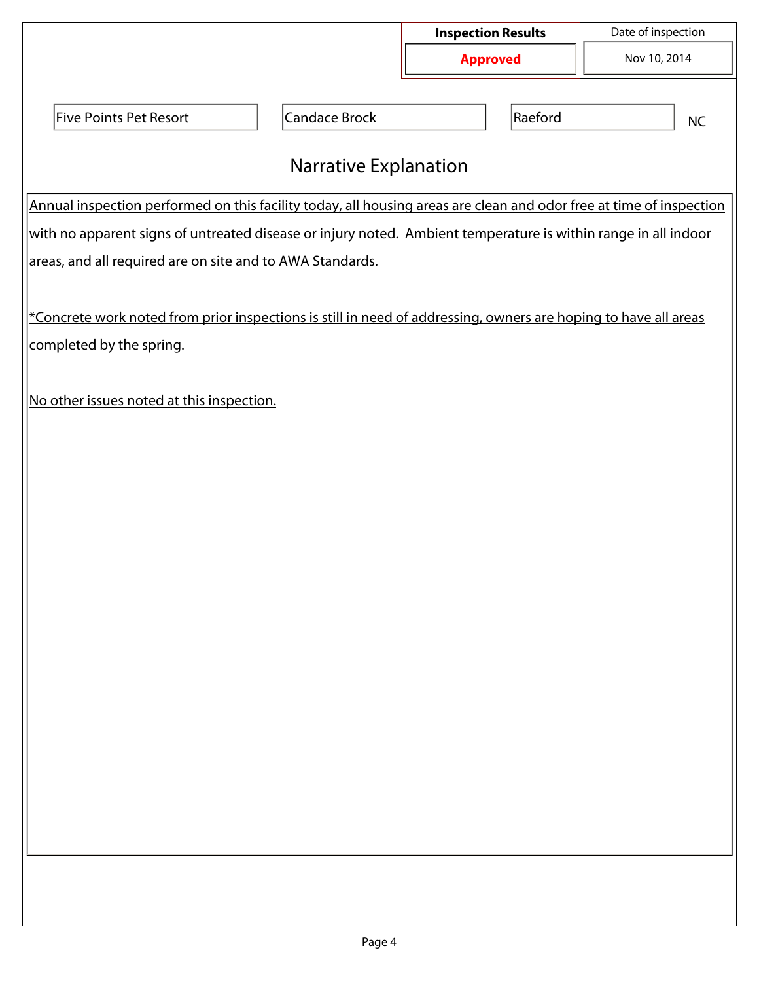|                                                                                                                     |                              | <b>Inspection Results</b> | Date of inspection |  |  |  |  |
|---------------------------------------------------------------------------------------------------------------------|------------------------------|---------------------------|--------------------|--|--|--|--|
|                                                                                                                     |                              | <b>Approved</b>           | Nov 10, 2014       |  |  |  |  |
|                                                                                                                     |                              |                           |                    |  |  |  |  |
| <b>Five Points Pet Resort</b>                                                                                       | Candace Brock                | Raeford                   | <b>NC</b>          |  |  |  |  |
|                                                                                                                     |                              |                           |                    |  |  |  |  |
|                                                                                                                     | <b>Narrative Explanation</b> |                           |                    |  |  |  |  |
| Annual inspection performed on this facility today, all housing areas are clean and odor free at time of inspection |                              |                           |                    |  |  |  |  |
| with no apparent signs of untreated disease or injury noted. Ambient temperature is within range in all indoor      |                              |                           |                    |  |  |  |  |
| areas, and all required are on site and to AWA Standards.                                                           |                              |                           |                    |  |  |  |  |
|                                                                                                                     |                              |                           |                    |  |  |  |  |
| *Concrete work noted from prior inspections is still in need of addressing, owners are hoping to have all areas     |                              |                           |                    |  |  |  |  |
| completed by the spring.                                                                                            |                              |                           |                    |  |  |  |  |
|                                                                                                                     |                              |                           |                    |  |  |  |  |
| No other issues noted at this inspection.                                                                           |                              |                           |                    |  |  |  |  |
|                                                                                                                     |                              |                           |                    |  |  |  |  |
|                                                                                                                     |                              |                           |                    |  |  |  |  |
|                                                                                                                     |                              |                           |                    |  |  |  |  |
|                                                                                                                     |                              |                           |                    |  |  |  |  |
|                                                                                                                     |                              |                           |                    |  |  |  |  |
|                                                                                                                     |                              |                           |                    |  |  |  |  |
|                                                                                                                     |                              |                           |                    |  |  |  |  |
|                                                                                                                     |                              |                           |                    |  |  |  |  |
|                                                                                                                     |                              |                           |                    |  |  |  |  |
|                                                                                                                     |                              |                           |                    |  |  |  |  |
|                                                                                                                     |                              |                           |                    |  |  |  |  |
|                                                                                                                     |                              |                           |                    |  |  |  |  |
|                                                                                                                     |                              |                           |                    |  |  |  |  |
|                                                                                                                     |                              |                           |                    |  |  |  |  |
|                                                                                                                     |                              |                           |                    |  |  |  |  |
|                                                                                                                     |                              |                           |                    |  |  |  |  |
|                                                                                                                     |                              |                           |                    |  |  |  |  |